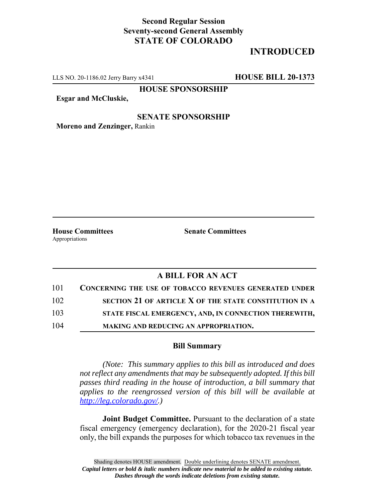## **Second Regular Session Seventy-second General Assembly STATE OF COLORADO**

# **INTRODUCED**

LLS NO. 20-1186.02 Jerry Barry x4341 **HOUSE BILL 20-1373**

**HOUSE SPONSORSHIP**

**Esgar and McCluskie,**

#### **SENATE SPONSORSHIP**

**Moreno and Zenzinger,** Rankin

Appropriations

**House Committees Senate Committees** 

### **A BILL FOR AN ACT**

| 101 | <b>CONCERNING THE USE OF TOBACCO REVENUES GENERATED UNDER</b> |
|-----|---------------------------------------------------------------|
| 102 | SECTION 21 OF ARTICLE X OF THE STATE CONSTITUTION IN A        |
| 103 | STATE FISCAL EMERGENCY, AND, IN CONNECTION THEREWITH,         |
| 104 | MAKING AND REDUCING AN APPROPRIATION.                         |

#### **Bill Summary**

*(Note: This summary applies to this bill as introduced and does not reflect any amendments that may be subsequently adopted. If this bill passes third reading in the house of introduction, a bill summary that applies to the reengrossed version of this bill will be available at http://leg.colorado.gov/.)*

**Joint Budget Committee.** Pursuant to the declaration of a state fiscal emergency (emergency declaration), for the 2020-21 fiscal year only, the bill expands the purposes for which tobacco tax revenues in the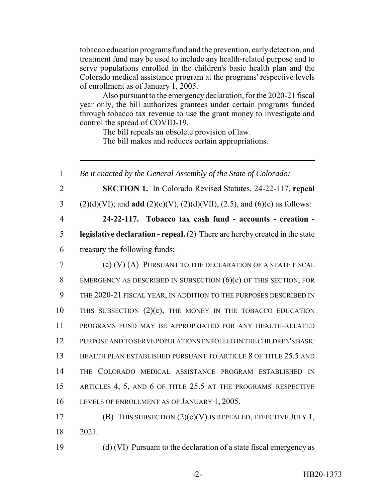tobacco education programs fund and the prevention, early detection, and treatment fund may be used to include any health-related purpose and to serve populations enrolled in the children's basic health plan and the Colorado medical assistance program at the programs' respective levels of enrollment as of January 1, 2005.

Also pursuant to the emergency declaration, for the 2020-21 fiscal year only, the bill authorizes grantees under certain programs funded through tobacco tax revenue to use the grant money to investigate and control the spread of COVID-19.

The bill repeals an obsolete provision of law.

The bill makes and reduces certain appropriations.

 *Be it enacted by the General Assembly of the State of Colorado:* **SECTION 1.** In Colorado Revised Statutes, 24-22-117, **repeal** (2)(d)(VI); and **add** (2)(c)(V), (2)(d)(VII), (2.5), and (6)(e) as follows: **24-22-117. Tobacco tax cash fund - accounts - creation - legislative declaration - repeal.** (2) There are hereby created in the state treasury the following funds: (c) (V) (A) PURSUANT TO THE DECLARATION OF A STATE FISCAL 8 EMERGENCY AS DESCRIBED IN SUBSECTION (6)(e) OF THIS SECTION, FOR THE 2020-21 FISCAL YEAR, IN ADDITION TO THE PURPOSES DESCRIBED IN THIS SUBSECTION (2)(c), THE MONEY IN THE TOBACCO EDUCATION PROGRAMS FUND MAY BE APPROPRIATED FOR ANY HEALTH-RELATED PURPOSE AND TO SERVE POPULATIONS ENROLLED IN THE CHILDREN'S BASIC HEALTH PLAN ESTABLISHED PURSUANT TO ARTICLE 8 OF TITLE 25.5 AND THE COLORADO MEDICAL ASSISTANCE PROGRAM ESTABLISHED IN ARTICLES 4, 5, AND 6 OF TITLE 25.5 AT THE PROGRAMS' RESPECTIVE LEVELS OF ENROLLMENT AS OF JANUARY 1, 2005. (B) THIS SUBSECTION (2)(c)(V) IS REPEALED, EFFECTIVE JULY 1, 18 2021. (d) (VI) Pursuant to the declaration of a state fiscal emergency as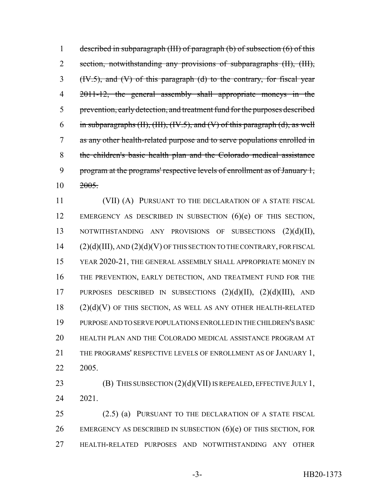described in subparagraph (III) of paragraph (b) of subsection (6) of this 2 section, notwithstanding any provisions of subparagraphs (II), (III), (IV.5), and (V) of this paragraph (d) to the contrary, for fiscal year 4 2011-12, the general assembly shall appropriate moneys in the prevention, early detection, and treatment fund for the purposes described 6 in subparagraphs (II), (III), (IV.5), and (V) of this paragraph (d), as well as any other health-related purpose and to serve populations enrolled in the children's basic health plan and the Colorado medical assistance program at the programs' respective levels of enrollment as of January 1, 2005.

11 (VII) (A) PURSUANT TO THE DECLARATION OF A STATE FISCAL 12 EMERGENCY AS DESCRIBED IN SUBSECTION (6)(e) OF THIS SECTION, 13 NOTWITHSTANDING ANY PROVISIONS OF SUBSECTIONS  $(2)(d)(II)$ , (2)(d)(III), AND (2)(d)(V) OF THIS SECTION TO THE CONTRARY, FOR FISCAL YEAR 2020-21, THE GENERAL ASSEMBLY SHALL APPROPRIATE MONEY IN THE PREVENTION, EARLY DETECTION, AND TREATMENT FUND FOR THE PURPOSES DESCRIBED IN SUBSECTIONS (2)(d)(II), (2)(d)(III), AND (2)(d)(V) OF THIS SECTION, AS WELL AS ANY OTHER HEALTH-RELATED PURPOSE AND TO SERVE POPULATIONS ENROLLED IN THE CHILDREN'S BASIC HEALTH PLAN AND THE COLORADO MEDICAL ASSISTANCE PROGRAM AT THE PROGRAMS' RESPECTIVE LEVELS OF ENROLLMENT AS OF JANUARY 1, 2005.

23 **(B)** THIS SUBSECTION  $(2)(d)(VII)$  IS REPEALED, EFFECTIVE JULY 1, 2021.

 (2.5) (a) PURSUANT TO THE DECLARATION OF A STATE FISCAL 26 EMERGENCY AS DESCRIBED IN SUBSECTION  $(6)(e)$  OF THIS SECTION, FOR HEALTH-RELATED PURPOSES AND NOTWITHSTANDING ANY OTHER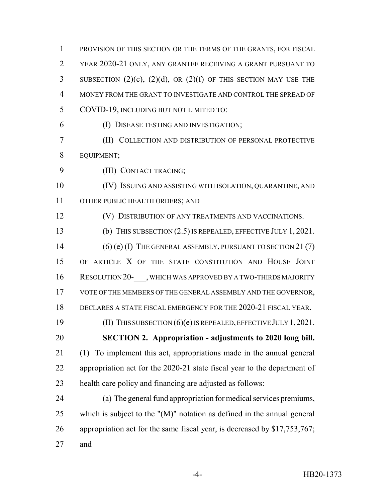PROVISION OF THIS SECTION OR THE TERMS OF THE GRANTS, FOR FISCAL YEAR 2020-21 ONLY, ANY GRANTEE RECEIVING A GRANT PURSUANT TO 3 SUBSECTION  $(2)(c)$ ,  $(2)(d)$ , OR  $(2)(f)$  OF THIS SECTION MAY USE THE MONEY FROM THE GRANT TO INVESTIGATE AND CONTROL THE SPREAD OF COVID-19, INCLUDING BUT NOT LIMITED TO: (I) DISEASE TESTING AND INVESTIGATION; (II) COLLECTION AND DISTRIBUTION OF PERSONAL PROTECTIVE EQUIPMENT; (III) CONTACT TRACING; (IV) ISSUING AND ASSISTING WITH ISOLATION, QUARANTINE, AND OTHER PUBLIC HEALTH ORDERS; AND (V) DISTRIBUTION OF ANY TREATMENTS AND VACCINATIONS. (b) THIS SUBSECTION (2.5) IS REPEALED, EFFECTIVE JULY 1, 2021. 14 (6) (e) (I) THE GENERAL ASSEMBLY, PURSUANT TO SECTION 21(7) OF ARTICLE X OF THE STATE CONSTITUTION AND HOUSE JOINT 16 RESOLUTION 20- , WHICH WAS APPROVED BY A TWO-THIRDS MAJORITY VOTE OF THE MEMBERS OF THE GENERAL ASSEMBLY AND THE GOVERNOR, DECLARES A STATE FISCAL EMERGENCY FOR THE 2020-21 FISCAL YEAR. (II) THIS SUBSECTION (6)(e) IS REPEALED, EFFECTIVE JULY 1,2021. **SECTION 2. Appropriation - adjustments to 2020 long bill.** (1) To implement this act, appropriations made in the annual general appropriation act for the 2020-21 state fiscal year to the department of health care policy and financing are adjusted as follows: (a) The general fund appropriation for medical services premiums, which is subject to the "(M)" notation as defined in the annual general 26 appropriation act for the same fiscal year, is decreased by \$17,753,767; and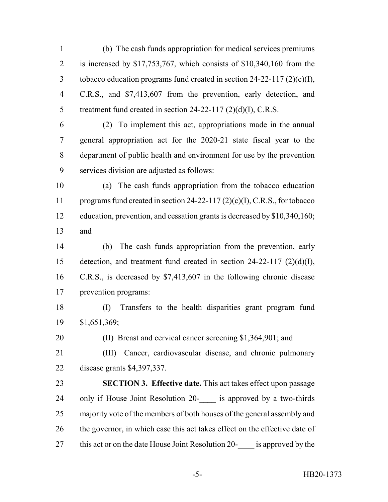(b) The cash funds appropriation for medical services premiums is increased by \$17,753,767, which consists of \$10,340,160 from the tobacco education programs fund created in section 24-22-117 (2)(c)(I), C.R.S., and \$7,413,607 from the prevention, early detection, and 5 treatment fund created in section 24-22-117 (2)(d)(I), C.R.S.

 (2) To implement this act, appropriations made in the annual general appropriation act for the 2020-21 state fiscal year to the department of public health and environment for use by the prevention services division are adjusted as follows:

 (a) The cash funds appropriation from the tobacco education programs fund created in section 24-22-117 (2)(c)(I), C.R.S., for tobacco education, prevention, and cessation grants is decreased by \$10,340,160; and

 (b) The cash funds appropriation from the prevention, early detection, and treatment fund created in section 24-22-117 (2)(d)(I), C.R.S., is decreased by \$7,413,607 in the following chronic disease prevention programs:

 (I) Transfers to the health disparities grant program fund \$1,651,369;

(II) Breast and cervical cancer screening \$1,364,901; and

 (III) Cancer, cardiovascular disease, and chronic pulmonary disease grants \$4,397,337.

 **SECTION 3. Effective date.** This act takes effect upon passage 24 only if House Joint Resolution 20- is approved by a two-thirds 25 majority vote of the members of both houses of the general assembly and 26 the governor, in which case this act takes effect on the effective date of 27 this act or on the date House Joint Resolution 20- is approved by the